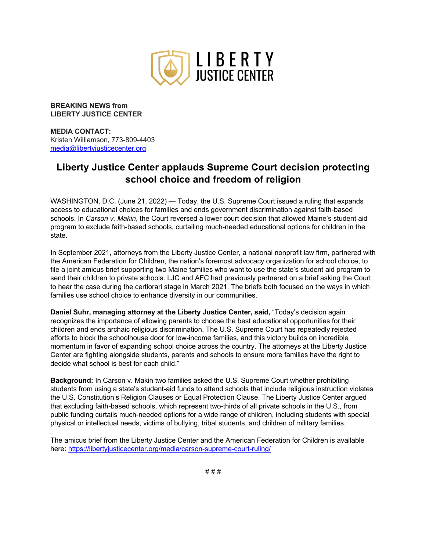

**BREAKING NEWS from LIBERTY JUSTICE CENTER**

**MEDIA CONTACT:**  Kristen Williamson, 773-809-4403 media@libertyjusticecenter.org

## **Liberty Justice Center applauds Supreme Court decision protecting school choice and freedom of religion**

WASHINGTON, D.C. (June 21, 2022) — Today, the U.S. Supreme Court issued a ruling that expands access to educational choices for families and ends government discrimination against faith-based schools. In *Carson v. Makin*, the Court reversed a lower court decision that allowed Maine's student aid program to exclude faith-based schools, curtailing much-needed educational options for children in the state.

In September 2021, attorneys from the Liberty Justice Center, a national nonprofit law firm, partnered with the American Federation for Children, the nation's foremost advocacy organization for school choice, to file a joint amicus brief supporting two Maine families who want to use the state's student aid program to send their children to private schools. LJC and AFC had previously partnered on a brief asking the Court to hear the case during the certiorari stage in March 2021. The briefs both focused on the ways in which families use school choice to enhance diversity in our communities.

**Daniel Suhr, managing attorney at the Liberty Justice Center, said, "Today's decision again** recognizes the importance of allowing parents to choose the best educational opportunities for their children and ends archaic religious discrimination. The U.S. Supreme Court has repeatedly rejected efforts to block the schoolhouse door for low-income families, and this victory builds on incredible momentum in favor of expanding school choice across the country. The attorneys at the Liberty Justice Center are fighting alongside students, parents and schools to ensure more families have the right to decide what school is best for each child."

**Background:** In Carson v. Makin two families asked the U.S. Supreme Court whether prohibiting students from using a state's student-aid funds to attend schools that include religious instruction violates the U.S. Constitution's Religion Clauses or Equal Protection Clause. The Liberty Justice Center argued that excluding faith-based schools, which represent two-thirds of all private schools in the U.S., from public funding curtails much-needed options for a wide range of children, including students with special physical or intellectual needs, victims of bullying, tribal students, and children of military families.

The amicus brief from the Liberty Justice Center and the American Federation for Children is available here: https://libertyjusticecenter.org/media/carson-supreme-court-ruling/